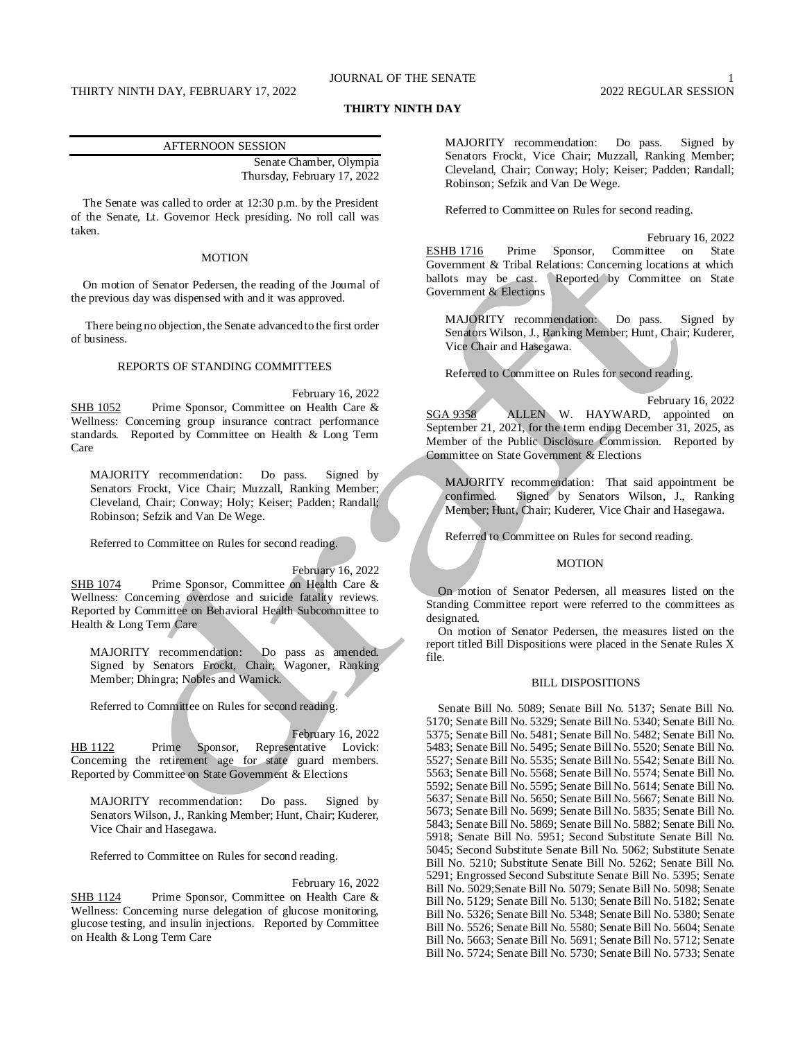## JOURNAL OF THE SENATE 1

# THIRTY NINTH DAY, FEBRUARY 17, 2022 2022 2022 2022 REGULAR SESSION

### **THIRTY NINTH DAY**

#### AFTERNOON SESSION

Senate Chamber, Olympia Thursday, February 17, 2022

The Senate was called to order at 12:30 p.m. by the President of the Senate, Lt. Governor Heck presiding. No roll call was taken.

### MOTION

On motion of Senator Pedersen, the reading of the Journal of the previous day was dispensed with and it was approved.

There being no objection, the Senate advanced to the first order of business.

## REPORTS OF STANDING COMMITTEES

February 16, 2022 SHB 1052 Prime Sponsor, Committee on Health Care & Wellness: Concerning group insurance contract performance standards. Reported by Committee on Health & Long Term Care

MAJORITY recommendation: Do pass. Signed by Senators Frockt, Vice Chair; Muzzall, Ranking Member; Cleveland, Chair; Conway; Holy; Keiser; Padden; Randall; Robinson; Sefzik and Van De Wege.

Referred to Committee on Rules for second reading.

February 16, 2022

SHB 1074 Prime Sponsor, Committee on Health Care & Wellness: Concerning overdose and suicide fatality reviews. Reported by Committee on Behavioral Health Subcommittee to Health & Long Term Care

MAJORITY recommendation: Do pass as amended. Signed by Senators Frockt, Chair; Wagoner, Ranking Member; Dhingra; Nobles and Warnick.

Referred to Committee on Rules for second reading.

February 16, 2022 HB 1122 Prime Sponsor, Representative Lovick: Concerning the retirement age for state guard members. Reported by Committee on State Government & Elections

MAJORITY recommendation: Do pass. Signed by Senators Wilson, J., Ranking Member; Hunt, Chair; Kuderer, Vice Chair and Hasegawa.

Referred to Committee on Rules for second reading.

February 16, 2022

SHB 1124 Prime Sponsor, Committee on Health Care & Wellness: Concerning nurse delegation of glucose monitoring, glucose testing, and insulin injections. Reported by Committee on Health & Long Term Care

MAJORITY recommendation: Do pass. Signed by Senators Frockt, Vice Chair; Muzzall, Ranking Member; Cleveland, Chair; Conway; Holy; Keiser; Padden; Randall; Robinson; Sefzik and Van De Wege.

Referred to Committee on Rules for second reading.

February 16, 2022 ESHB 1716 Prime Sponsor, Committee on State Government & Tribal Relations: Concerning locations at which ballots may be cast. (Reported by Committee on State Reported by Committee on State Government & Elections

MAJORITY recommendation: Do pass. Signed by Senators Wilson, J., Ranking Member; Hunt, Chair; Kuderer, Vice Chair and Hasegawa.

Referred to Committee on Rules for second reading.

February 16, 2022 SGA 9358 ALLEN W. HAYWARD, appointed on September 21, 2021, for the term ending December 31, 2025, as Member of the Public Disclosure Commission. Reported by Committee on State Government & Elections

MAJORITY recommendation: That said appointment be confirmed. Signed by Senators Wilson, J., Ranking Member; Hunt, Chair; Kuderer, Vice Chair and Hasegawa.

Referred to Committee on Rules for second reading.

# **MOTION**

On motion of Senator Pedersen, all measures listed on the Standing Committee report were referred to the committees as designated.

On motion of Senator Pedersen, the measures listed on the report titled Bill Dispositions were placed in the Senate Rules X file.

#### BILL DISPOSITIONS

Senate Bill No. 5089; Senate Bill No. 5137; Senate Bill No. 5170; Senate Bill No. 5329; Senate Bill No. 5340; Senate Bill No. 5375; Senate Bill No. 5481; Senate Bill No. 5482; Senate Bill No. 5483; Senate Bill No. 5495; Senate Bill No. 5520; Senate Bill No. 5527; Senate Bill No. 5535; Senate Bill No. 5542; Senate Bill No. 5563; Senate Bill No. 5568; Senate Bill No. 5574; Senate Bill No. 5592; Senate Bill No. 5595; Senate Bill No. 5614; Senate Bill No. 5637; Senate Bill No. 5650; Senate Bill No. 5667; Senate Bill No. 5673; Senate Bill No. 5699; Senate Bill No. 5835; Senate Bill No. 5843; Senate Bill No. 5869; Senate Bill No. 5882; Senate Bill No. 5918; Senate Bill No. 5951; Second Substitute Senate Bill No. 5045; Second Substitute Senate Bill No. 5062; Substitute Senate Bill No. 5210; Substitute Senate Bill No. 5262; Senate Bill No. 5291; Engrossed Second Substitute Senate Bill No. 5395; Senate Bill No. 5029;Senate Bill No. 5079; Senate Bill No. 5098; Senate Bill No. 5129; Senate Bill No. 5130; Senate Bill No. 5182; Senate Bill No. 5326; Senate Bill No. 5348; Senate Bill No. 5380; Senate Bill No. 5526; Senate Bill No. 5580; Senate Bill No. 5604; Senate Bill No. 5663; Senate Bill No. 5691; Senate Bill No. 5712; Senate Bill No. 5724; Senate Bill No. 5730; Senate Bill No. 5733; Senate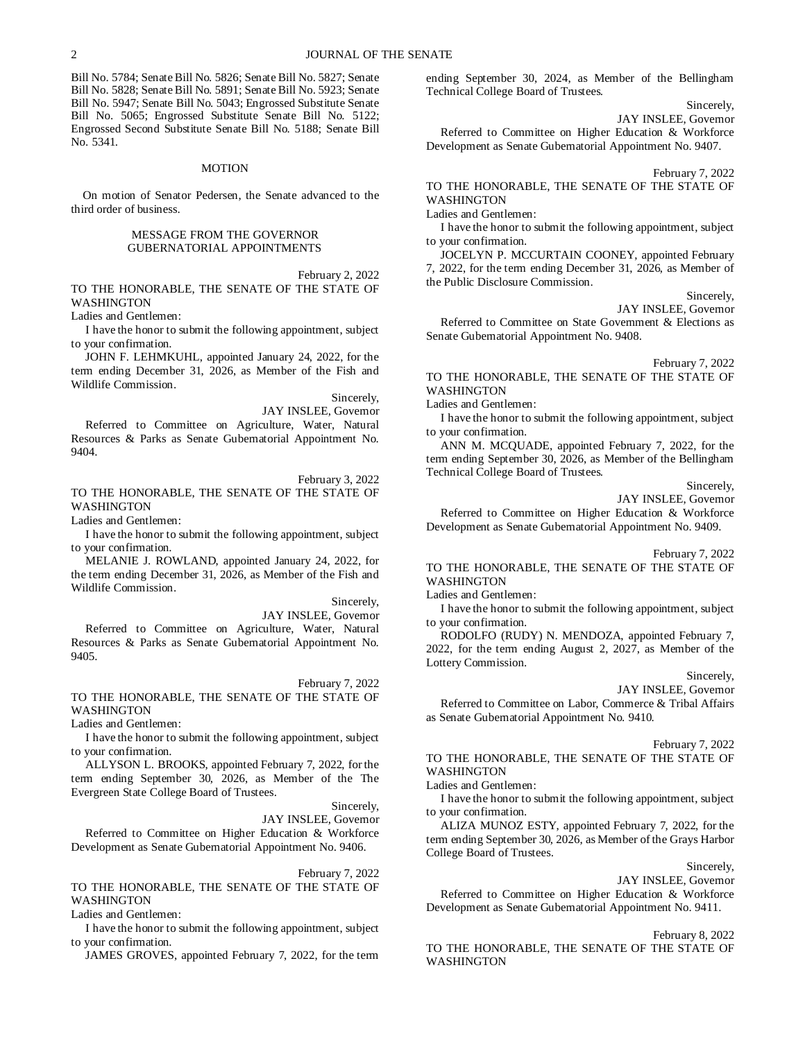Bill No. 5784; Senate Bill No. 5826; Senate Bill No. 5827; Senate Bill No. 5828; Senate Bill No. 5891; Senate Bill No. 5923; Senate Bill No. 5947; Senate Bill No. 5043; Engrossed Substitute Senate Bill No. 5065; Engrossed Substitute Senate Bill No. 5122; Engrossed Second Substitute Senate Bill No. 5188; Senate Bill No. 5341.

#### MOTION

On motion of Senator Pedersen, the Senate advanced to the third order of business.

#### MESSAGE FROM THE GOVERNOR GUBERNATORIAL APPOINTMENTS

February 2, 2022

TO THE HONORABLE, THE SENATE OF THE STATE OF WASHINGTON

Ladies and Gentlemen:

I have the honor to submit the following appointment, subject to your confirmation.

JOHN F. LEHMKUHL, appointed January 24, 2022, for the term ending December 31, 2026, as Member of the Fish and Wildlife Commission.

Sincerely,

JAY INSLEE, Governor Referred to Committee on Agriculture, Water, Natural Resources & Parks as Senate Gubernatorial Appointment No. 9404.

February 3, 2022

TO THE HONORABLE, THE SENATE OF THE STATE OF WASHINGTON

Ladies and Gentlemen:

I have the honor to submit the following appointment, subject to your confirmation.

MELANIE J. ROWLAND, appointed January 24, 2022, for the term ending December 31, 2026, as Member of the Fish and Wildlife Commission.

Sincerely,

JAY INSLEE, Governor

Referred to Committee on Agriculture, Water, Natural Resources & Parks as Senate Gubernatorial Appointment No. 9405.

February 7, 2022

TO THE HONORABLE, THE SENATE OF THE STATE OF WASHINGTON

Ladies and Gentlemen:

I have the honor to submit the following appointment, subject to your confirmation.

ALLYSON L. BROOKS, appointed February 7, 2022, for the term ending September 30, 2026, as Member of the The Evergreen State College Board of Trustees.

> Sincerely, JAY INSLEE, Governor

Referred to Committee on Higher Education & Workforce Development as Senate Gubernatorial Appointment No. 9406.

February 7, 2022

TO THE HONORABLE, THE SENATE OF THE STATE OF WASHINGTON

Ladies and Gentlemen:

I have the honor to submit the following appointment, subject to your confirmation.

JAMES GROVES, appointed February 7, 2022, for the term

ending September 30, 2024, as Member of the Bellingham Technical College Board of Trustees.

> Sincerely, JAY INSLEE, Governor

Referred to Committee on Higher Education & Workforce Development as Senate Gubernatorial Appointment No. 9407.

#### February 7, 2022

TO THE HONORABLE, THE SENATE OF THE STATE OF **WASHINGTON** 

Ladies and Gentlemen:

I have the honor to submit the following appointment, subject to your confirmation.

JOCELYN P. MCCURTAIN COONEY, appointed February 7, 2022, for the term ending December 31, 2026, as Member of the Public Disclosure Commission.

Sincerely,

JAY INSLEE, Governor

Referred to Committee on State Government & Elections as Senate Gubernatorial Appointment No. 9408.

February 7, 2022 TO THE HONORABLE, THE SENATE OF THE STATE OF WASHINGTON

Ladies and Gentlemen:

I have the honor to submit the following appointment, subject to your confirmation.

ANN M. MCQUADE, appointed February 7, 2022, for the term ending September 30, 2026, as Member of the Bellingham Technical College Board of Trustees.

Sincerely,

JAY INSLEE, Governor Referred to Committee on Higher Education & Workforce Development as Senate Gubernatorial Appointment No. 9409.

February 7, 2022

TO THE HONORABLE, THE SENATE OF THE STATE OF **WASHINGTON** 

Ladies and Gentlemen:

I have the honor to submit the following appointment, subject to your confirmation.

RODOLFO (RUDY) N. MENDOZA, appointed February 7, 2022, for the term ending August 2, 2027, as Member of the Lottery Commission.

Sincerely,

JAY INSLEE, Governor

Referred to Committee on Labor, Commerce & Tribal Affairs as Senate Gubernatorial Appointment No. 9410.

#### February 7, 2022

TO THE HONORABLE, THE SENATE OF THE STATE OF WASHINGTON

Ladies and Gentlemen:

I have the honor to submit the following appointment, subject to your confirmation.

ALIZA MUNOZ ESTY, appointed February 7, 2022, for the term ending September 30, 2026, as Member of the Grays Harbor College Board of Trustees.

Sincerely,

JAY INSLEE, Governor

Referred to Committee on Higher Education & Workforce Development as Senate Gubernatorial Appointment No. 9411.

#### February 8, 2022

TO THE HONORABLE, THE SENATE OF THE STATE OF WASHINGTON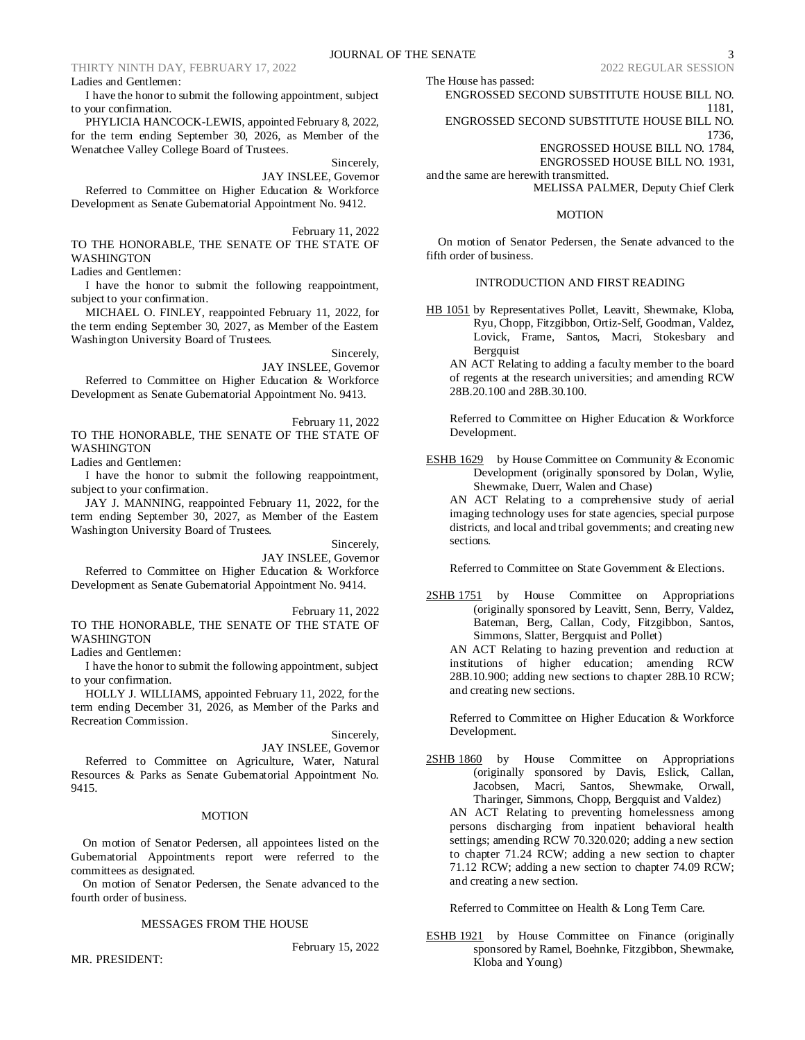I have the honor to submit the following appointment, subject to your confirmation.

PHYLICIA HANCOCK-LEWIS, appointed February 8, 2022, for the term ending September 30, 2026, as Member of the Wenatchee Valley College Board of Trustees.

Sincerely,

JAY INSLEE, Governor

Referred to Committee on Higher Education & Workforce Development as Senate Gubernatorial Appointment No. 9412.

February 11, 2022 TO THE HONORABLE, THE SENATE OF THE STATE OF WASHINGTON

Ladies and Gentlemen:

I have the honor to submit the following reappointment, subject to your confirmation.

MICHAEL O. FINLEY, reappointed February 11, 2022, for the term ending September 30, 2027, as Member of the Eastern Washington University Board of Trustees.

Sincerely,

JAY INSLEE, Governor Referred to Committee on Higher Education & Workforce Development as Senate Gubernatorial Appointment No. 9413.

February 11, 2022 TO THE HONORABLE, THE SENATE OF THE STATE OF **WASHINGTON** 

Ladies and Gentlemen:

I have the honor to submit the following reappointment, subject to your confirmation.

JAY J. MANNING, reappointed February 11, 2022, for the term ending September 30, 2027, as Member of the Eastern Washington University Board of Trustees.

Sincerely,

JAY INSLEE, Governor Referred to Committee on Higher Education & Workforce Development as Senate Gubernatorial Appointment No. 9414.

February 11, 2022 TO THE HONORABLE, THE SENATE OF THE STATE OF WASHINGTON

Ladies and Gentlemen:

I have the honor to submit the following appointment, subject to your confirmation.

HOLLY J. WILLIAMS, appointed February 11, 2022, for the term ending December 31, 2026, as Member of the Parks and Recreation Commission.

Sincerely,

JAY INSLEE, Governor

Referred to Committee on Agriculture, Water, Natural Resources & Parks as Senate Gubernatorial Appointment No. 9415.

## **MOTION**

On motion of Senator Pedersen, all appointees listed on the Gubernatorial Appointments report were referred to the committees as designated.

On motion of Senator Pedersen, the Senate advanced to the fourth order of business.

### MESSAGES FROM THE HOUSE

MR. PRESIDENT:

February 15, 2022

The House has passed:

ENGROSSED SECOND SUBSTITUTE HOUSE BILL NO. 1181,

ENGROSSED SECOND SUBSTITUTE HOUSE BILL NO. 1736,

ENGROSSED HOUSE BILL NO. 1784,

ENGROSSED HOUSE BILL NO. 1931,

and the same are herewith transmitted. MELISSA PALMER, Deputy Chief Clerk

#### **MOTION**

On motion of Senator Pedersen, the Senate advanced to the fifth order of business.

## INTRODUCTION AND FIRST READING

HB 1051 by Representatives Pollet, Leavitt, Shewmake, Kloba, Ryu, Chopp, Fitzgibbon, Ortiz-Self, Goodman, Valdez, Lovick, Frame, Santos, Macri, Stokesbary and **Bergquist** 

AN ACT Relating to adding a faculty member to the board of regents at the research universities; and amending RCW 28B.20.100 and 28B.30.100.

Referred to Committee on Higher Education & Workforce Development.

ESHB 1629 by House Committee on Community & Economic Development (originally sponsored by Dolan, Wylie, Shewmake, Duerr, Walen and Chase)

AN ACT Relating to a comprehensive study of aerial imaging technology uses for state agencies, special purpose districts, and local and tribal governments; and creating new sections.

Referred to Committee on State Government & Elections.

2SHB 1751 by House Committee on Appropriations (originally sponsored by Leavitt, Senn, Berry, Valdez, Bateman, Berg, Callan, Cody, Fitzgibbon, Santos, Simmons, Slatter, Bergquist and Pollet)

AN ACT Relating to hazing prevention and reduction at institutions of higher education; amending RCW 28B.10.900; adding new sections to chapter 28B.10 RCW; and creating new sections.

Referred to Committee on Higher Education & Workforce Development.

2SHB 1860 by House Committee on Appropriations (originally sponsored by Davis, Eslick, Callan, Jacobsen, Macri, Santos, Shewmake, Orwall, Tharinger, Simmons, Chopp, Bergquist and Valdez)

AN ACT Relating to preventing homelessness among persons discharging from inpatient behavioral health settings; amending RCW 70.320.020; adding a new section to chapter 71.24 RCW; adding a new section to chapter 71.12 RCW; adding a new section to chapter 74.09 RCW; and creating a new section.

Referred to Committee on Health & Long Term Care.

ESHB 1921 by House Committee on Finance (originally sponsored by Ramel, Boehnke, Fitzgibbon, Shewmake, Kloba and Young)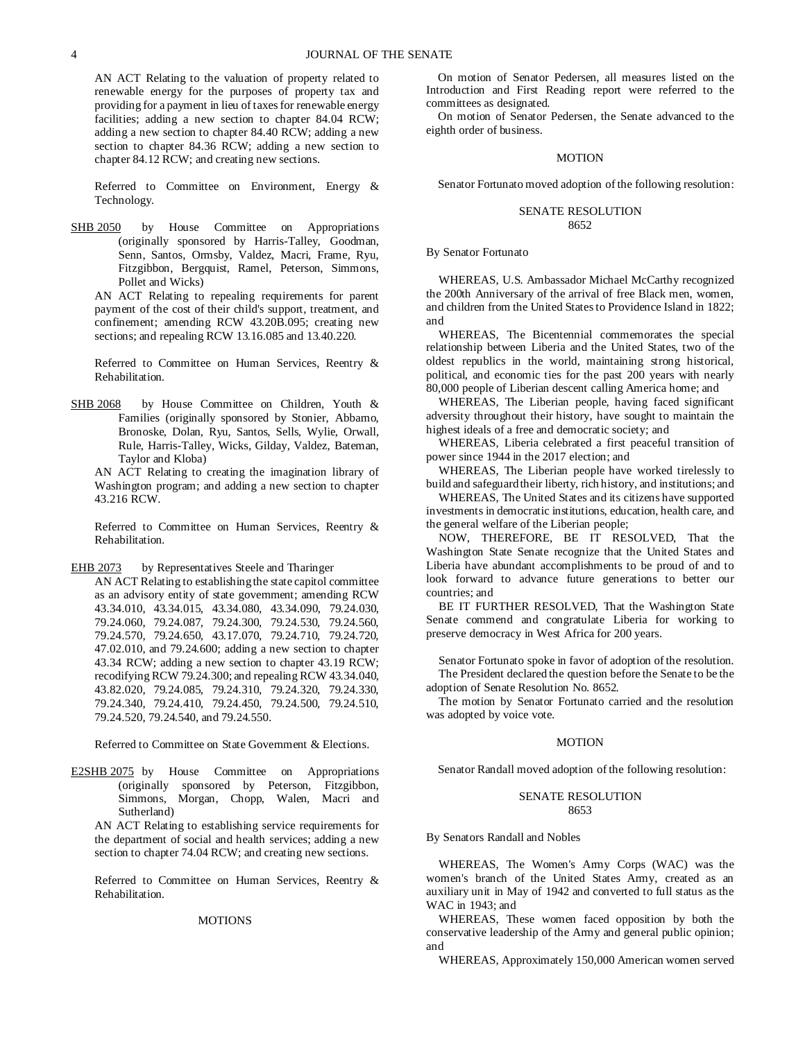AN ACT Relating to the valuation of property related to renewable energy for the purposes of property tax and providing for a payment in lieu of taxes for renewable energy facilities; adding a new section to chapter 84.04 RCW; adding a new section to chapter 84.40 RCW; adding a new section to chapter 84.36 RCW; adding a new section to chapter 84.12 RCW; and creating new sections.

Referred to Committee on Environment, Energy & Technology.

SHB 2050 by House Committee on Appropriations (originally sponsored by Harris-Talley, Goodman, Senn, Santos, Ormsby, Valdez, Macri, Frame, Ryu, Fitzgibbon, Bergquist, Ramel, Peterson, Simmons, Pollet and Wicks)

AN ACT Relating to repealing requirements for parent payment of the cost of their child's support, treatment, and confinement; amending RCW 43.20B.095; creating new sections; and repealing RCW 13.16.085 and 13.40.220.

Referred to Committee on Human Services, Reentry & Rehabilitation.

SHB 2068 by House Committee on Children, Youth & Families (originally sponsored by Stonier, Abbarno, Bronoske, Dolan, Ryu, Santos, Sells, Wylie, Orwall, Rule, Harris-Talley, Wicks, Gilday, Valdez, Bateman, Taylor and Kloba)

AN ACT Relating to creating the imagination library of Washington program; and adding a new section to chapter 43.216 RCW.

Referred to Committee on Human Services, Reentry & Rehabilitation.

EHB 2073 by Representatives Steele and Tharinger

AN ACT Relating to establishing the state capitol committee as an advisory entity of state government; amending RCW 43.34.010, 43.34.015, 43.34.080, 43.34.090, 79.24.030, 79.24.060, 79.24.087, 79.24.300, 79.24.530, 79.24.560, 79.24.570, 79.24.650, 43.17.070, 79.24.710, 79.24.720, 47.02.010, and 79.24.600; adding a new section to chapter 43.34 RCW; adding a new section to chapter 43.19 RCW; recodifying RCW 79.24.300; and repealing RCW 43.34.040, 43.82.020, 79.24.085, 79.24.310, 79.24.320, 79.24.330, 79.24.340, 79.24.410, 79.24.450, 79.24.500, 79.24.510, 79.24.520, 79.24.540, and 79.24.550.

Referred to Committee on State Government & Elections.

E2SHB 2075 by House Committee on Appropriations (originally sponsored by Peterson, Fitzgibbon, Simmons, Morgan, Chopp, Walen, Macri and Sutherland)

AN ACT Relating to establishing service requirements for the department of social and health services; adding a new section to chapter 74.04 RCW; and creating new sections.

Referred to Committee on Human Services, Reentry & Rehabilitation.

#### MOTIONS

On motion of Senator Pedersen, all measures listed on the Introduction and First Reading report were referred to the committees as designated.

On motion of Senator Pedersen, the Senate advanced to the eighth order of business.

## **MOTION**

Senator Fortunato moved adoption of the following resolution:

#### SENATE RESOLUTION 8652

By Senator Fortunato

WHEREAS, U.S. Ambassador Michael McCarthy recognized the 200th Anniversary of the arrival of free Black men, women, and children from the United States to Providence Island in 1822; and

WHEREAS, The Bicentennial commemorates the special relationship between Liberia and the United States, two of the oldest republics in the world, maintaining strong historical, political, and economic ties for the past 200 years with nearly 80,000 people of Liberian descent calling America home; and

WHEREAS, The Liberian people, having faced significant adversity throughout their history, have sought to maintain the highest ideals of a free and democratic society; and

WHEREAS, Liberia celebrated a first peaceful transition of power since 1944 in the 2017 election; and

WHEREAS, The Liberian people have worked tirelessly to build and safeguard their liberty, rich history, and institutions; and

WHEREAS, The United States and its citizens have supported investments in democratic institutions, education, health care, and the general welfare of the Liberian people;

NOW, THEREFORE, BE IT RESOLVED, That the Washington State Senate recognize that the United States and Liberia have abundant accomplishments to be proud of and to look forward to advance future generations to better our countries; and

BE IT FURTHER RESOLVED, That the Washington State Senate commend and congratulate Liberia for working to preserve democracy in West Africa for 200 years.

Senator Fortunato spoke in favor of adoption of the resolution. The President declared the question before the Senate to be the

adoption of Senate Resolution No. 8652. The motion by Senator Fortunato carried and the resolution

was adopted by voice vote.

## **MOTION**

Senator Randall moved adoption of the following resolution:

#### SENATE RESOLUTION 8653

By Senators Randall and Nobles

WHEREAS, The Women's Army Corps (WAC) was the women's branch of the United States Army, created as an auxiliary unit in May of 1942 and converted to full status as the WAC in 1943; and

WHEREAS, These women faced opposition by both the conservative leadership of the Army and general public opinion; and

WHEREAS, Approximately 150,000 American women served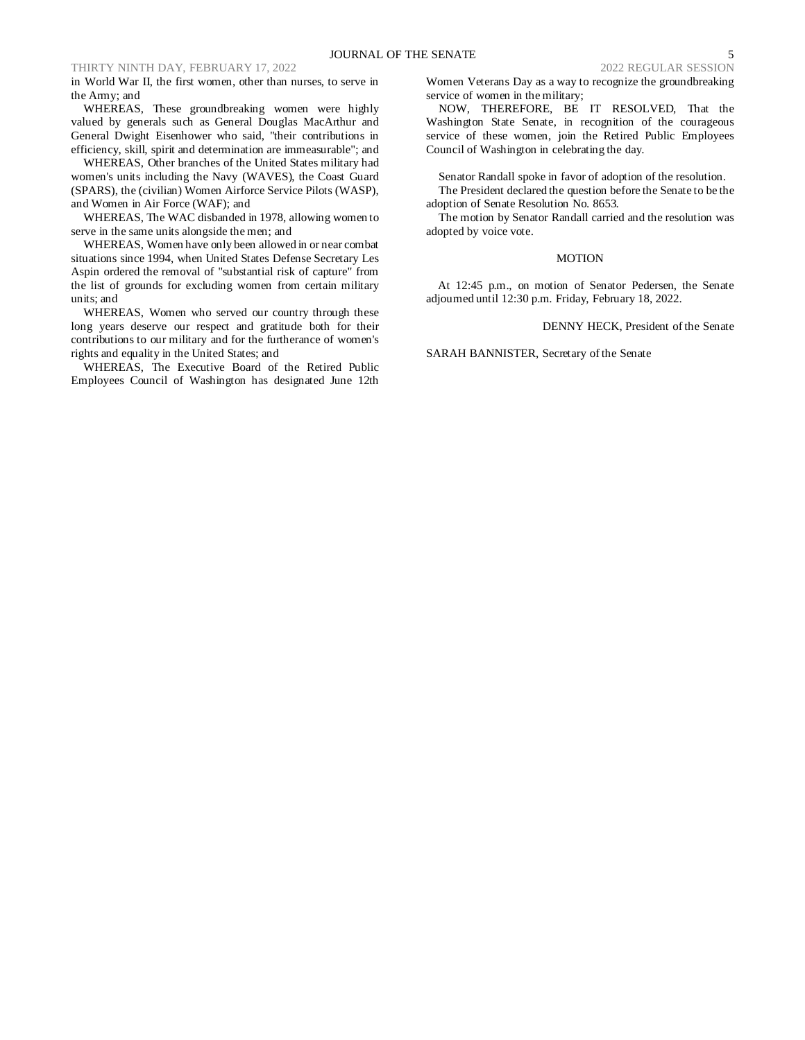## THIRTY NINTH DAY, FEBRUARY 17, 2022 2022 2022 2022 REGULAR SESSION

in World War II, the first women, other than nurses, to serve in the Army; and

WHEREAS, These groundbreaking women were highly valued by generals such as General Douglas MacArthur and General Dwight Eisenhower who said, "their contributions in efficiency, skill, spirit and determination are immeasurable"; and

WHEREAS, Other branches of the United States military had women's units including the Navy (WAVES), the Coast Guard (SPARS), the (civilian) Women Airforce Service Pilots (WASP), and Women in Air Force (WAF); and

WHEREAS, The WAC disbanded in 1978, allowing women to serve in the same units alongside the men; and

WHEREAS, Women have only been allowed in or near combat situations since 1994, when United States Defense Secretary Les Aspin ordered the removal of "substantial risk of capture" from the list of grounds for excluding women from certain military units; and

WHEREAS, Women who served our country through these long years deserve our respect and gratitude both for their contributions to our military and for the furtherance of women's rights and equality in the United States; and

WHEREAS, The Executive Board of the Retired Public Employees Council of Washington has designated June 12th Women Veterans Day as a way to recognize the groundbreaking service of women in the military;

NOW, THEREFORE, BE IT RESOLVED, That the Washington State Senate, in recognition of the courageous service of these women, join the Retired Public Employees Council of Washington in celebrating the day.

Senator Randall spoke in favor of adoption of the resolution.

The President declared the question before the Senate to be the adoption of Senate Resolution No. 8653.

The motion by Senator Randall carried and the resolution was adopted by voice vote.

#### **MOTION**

At 12:45 p.m., on motion of Senator Pedersen, the Senate adjourned until 12:30 p.m. Friday, February 18, 2022.

### DENNY HECK, President of the Senate

SARAH BANNISTER, Secretary of the Senate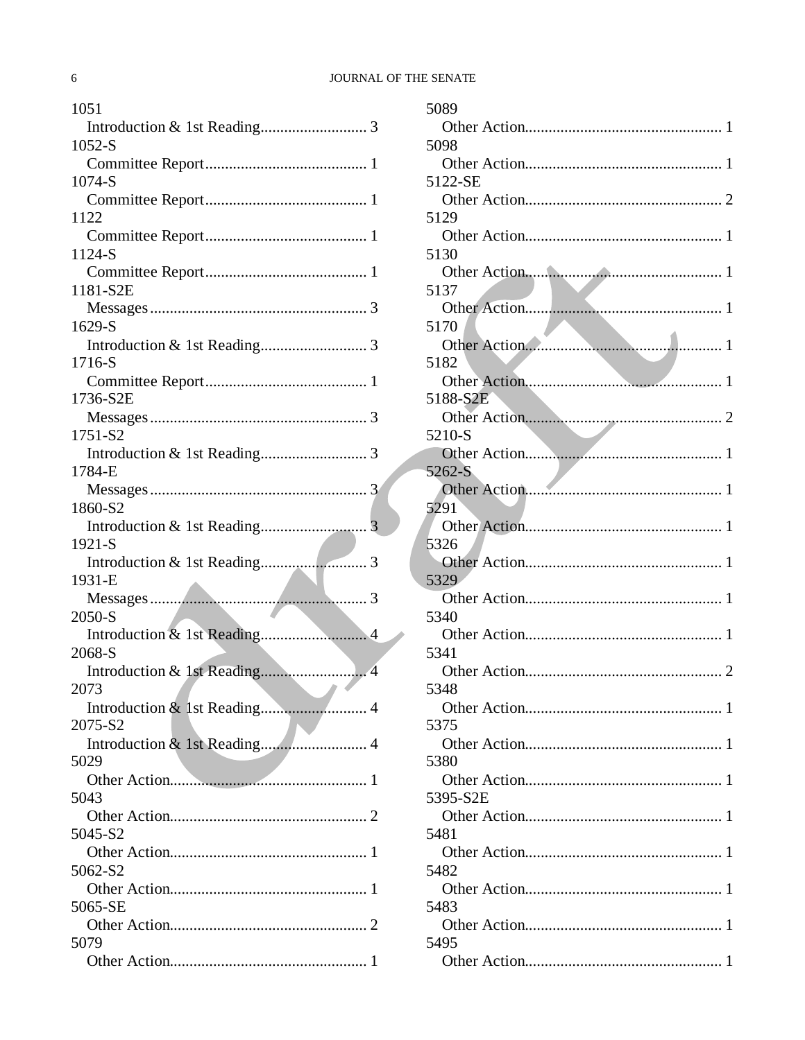# JOURNAL OF THE SENATE

| 1051     |
|----------|
|          |
| $1052-S$ |
|          |
| 1074-S   |
|          |
| 1122     |
| 1124-S   |
|          |
| 1181-S2E |
|          |
| 1629-S   |
|          |
| 1716-S   |
|          |
| 1736-S2E |
|          |
| 1751-S2  |
|          |
| 1784-E   |
|          |
| 1860-S2  |
| 1921-S   |
|          |
|          |
|          |
| 1931-E   |
| 2050-S   |
|          |
| 2068-S   |
|          |
| 2073     |
|          |
| 2075-S2  |
|          |
| 5029     |
|          |
| 5043     |
| 5045-S2  |
|          |
| 5062-S2  |
|          |
| 5065-SE  |
|          |
| 5079     |

| 5089     |
|----------|
|          |
| 5098     |
|          |
| 5122-SE  |
|          |
| 5129     |
|          |
| 5130     |
|          |
| 5137     |
|          |
| 5170     |
| 5182     |
|          |
| 5188-S2E |
|          |
| 5210-S   |
|          |
| 5262-S   |
|          |
| 5291     |
|          |
| 5326     |
|          |
| 5329     |
|          |
| 5340     |
|          |
| 5341     |
|          |
| 5348     |
| 5375     |
|          |
| 5380     |
|          |
| 5395-S2E |
|          |
| 5481     |
|          |
| 5482     |
|          |
| 5483     |
|          |
| 5495     |
|          |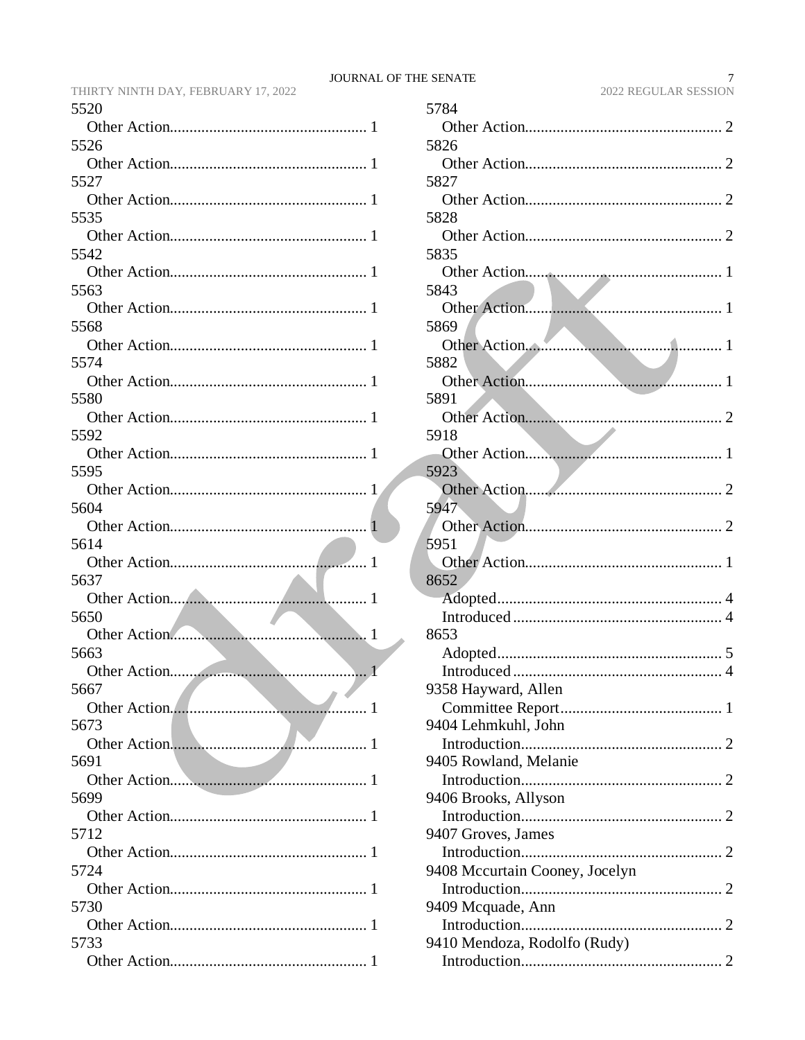| 5520         |
|--------------|
| 1            |
| 5526         |
|              |
| 5527         |
|              |
| 5535         |
| $\mathbf{I}$ |
| 5542         |
|              |
| 5563         |
|              |
| 5568         |
|              |
| 5574         |
|              |
| 5580         |
| -1           |
| 5592         |
|              |
| 5595         |
| 5604         |
|              |
| 5614         |
|              |
| 5637         |
| 1            |
| 5650         |
| 1            |
| 5663         |
|              |
| 5667         |
| . 1          |
| 5673         |
|              |
| 5691         |
|              |
| 5699         |
|              |
| 5712         |
| 5724         |
|              |
| 5730         |
|              |
| 5733         |
|              |
|              |

|              | 5784                           |
|--------------|--------------------------------|
| 1            |                                |
|              | 5826                           |
| $\mathbf{1}$ |                                |
|              | 5827                           |
| 1            |                                |
|              | 5828                           |
| 1            |                                |
|              | 5835                           |
| 1            |                                |
|              | 5843                           |
| 1            | 5869                           |
| 1            |                                |
|              | 5882                           |
| 1            |                                |
|              | 5891                           |
| 1            |                                |
|              | 5918                           |
| 1            |                                |
|              | 5923                           |
| $\mathbf{1}$ |                                |
|              | 5947                           |
| $\mathbf{1}$ |                                |
|              | 5951                           |
| 1            |                                |
| $\mathbf{1}$ | 8652                           |
|              |                                |
| 1            | 8653                           |
|              |                                |
| 1            |                                |
|              | 9358 Hayward, Allen            |
| 1            |                                |
|              | 9404 Lehmkuhl, John            |
| 1            |                                |
|              | 9405 Rowland, Melanie          |
| 1            |                                |
|              | 9406 Brooks, Allyson           |
| 1            |                                |
|              | 9407 Groves, James             |
| 1            |                                |
|              | 9408 Mccurtain Cooney, Jocelyn |
| 1            |                                |
| 1            | 9409 Mcquade, Ann              |
|              | 9410 Mendoza, Rodolfo (Rudy)   |
| 1            |                                |
|              |                                |